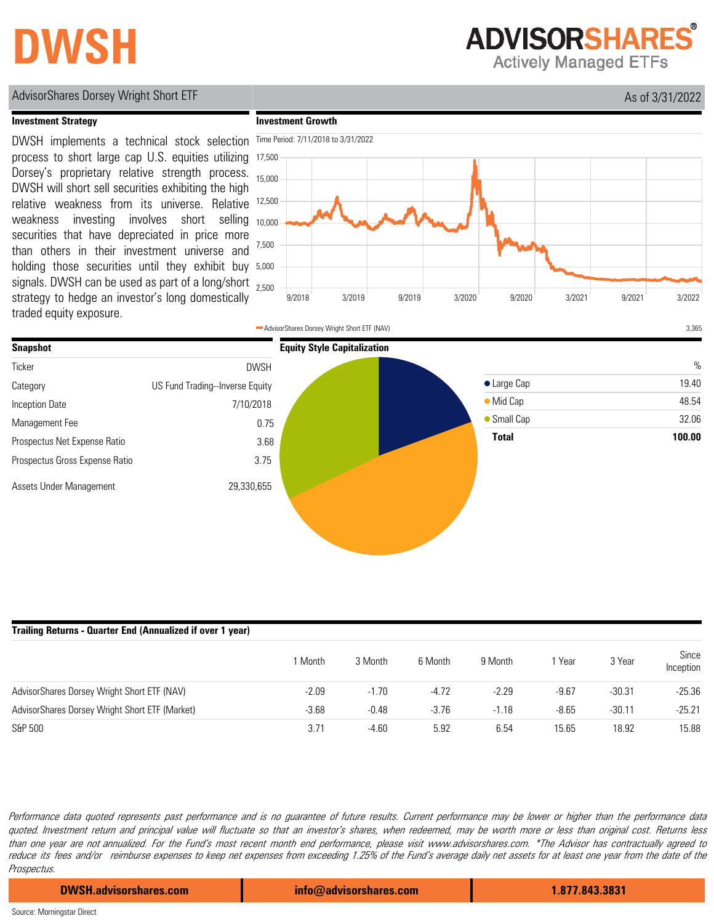# **DWSH**

**ADVISORSHARES** 

**Actively Managed ETFs** 

#### AdvisorShares Dorsey Wright Short ETF As of 3/31/2022

15.88

### **Investment Strategy**

signals. DWSH can be used as part of a long/short <sub>2,500</sub> holding those securities until they exhibit buy 5,000 DWSH implements a technical stock selection process to short large cap U.S. equities utilizing Dorsey's proprietary relative strength process. DWSH will short sell securities exhibiting the high relative weakness from its universe. Relative weakness investing involves short selling securities that have depreciated in price more than others in their investment universe and strategy to hedge an investor's long domestically traded equity exposure.





| Trailing Returns - Quarter End (Annualized if over 1 year) |         |         |         |         |         |          |                    |  |  |
|------------------------------------------------------------|---------|---------|---------|---------|---------|----------|--------------------|--|--|
|                                                            | Month   | 3 Month | 6 Month | 9 Month | 'Year   | 3 Year   | Since<br>Inception |  |  |
| AdvisorShares Dorsey Wright Short ETF (NAV)                | $-2.09$ | $-1.70$ |         | -2.29   | $-9.67$ | $-30.31$ | $-25.36$           |  |  |

3.71

Performance data quoted represents past performance and is no guarantee of future results. Current performance may be lower or higher than the performance data quoted. Investment return and principal value will fluctuate so that an investor's shares, when redeemed, may be worth more or less than original cost. Returns less than one year are not annualized. For the Fund's most recent month end performance, please visit www.advisorshares.com. \*The Advisor has contractually agreed to reduce its fees and/or reimburse expenses to keep net expenses from exceeding 1.25% of the Fund's average daily net assets for at least one year from the date of the Prospectus.

-4.60

5.92

6.54

-3.68 -0.48 -3.76 -1.18 -8.65 -30.11 -25.21

AdvisorShares Dorsey Wright Short ETF (Market)

**DWSH.advisorshares.com info@advisorshares.com 1.877.843.3831**

15.65

18.92

S&P 500